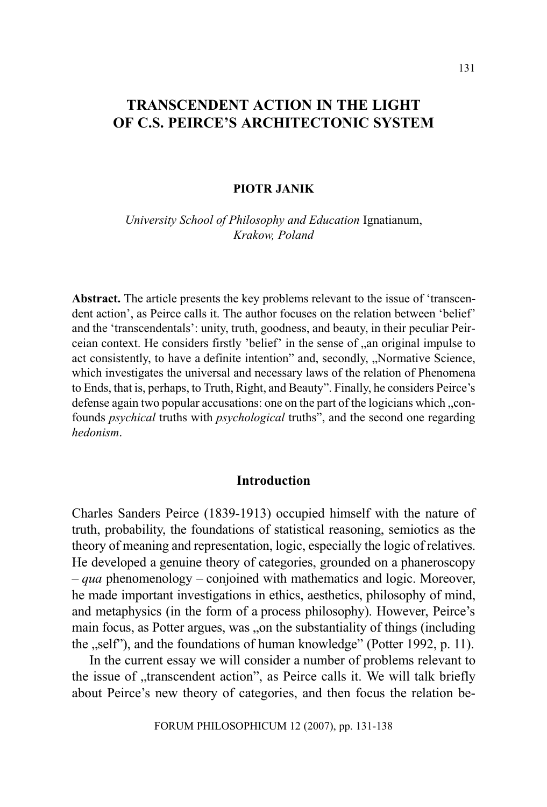# TRANSCENDENT ACTION IN THE LIGHT OF C.S. PEIRCE'S ARCHITECTONIC SYSTEM

#### PIOTR JANIK

University School of Philosophy and Education Ignatianum, Krakow, Poland

Abstract. The article presents the key problems relevant to the issue of 'transcendent action', as Peirce calls it. The author focuses on the relation between 'belief' and the 'transcendentals': unity, truth, goodness, and beauty, in their peculiar Peirceian context. He considers firstly 'belief' in the sense of , an original impulse to act consistently, to have a definite intention" and, secondly, "Normative Science, which investigates the universal and necessary laws of the relation of Phenomena to Ends, that is, perhaps, to Truth, Right, and Beauty". Finally, he considers Peirce's defense again two popular accusations: one on the part of the logicians which  $c$ , confounds *psychical* truths with *psychological* truths", and the second one regarding hedonism.

#### Introduction

Charles Sanders Peirce (1839-1913) occupied himself with the nature of truth, probability, the foundations of statistical reasoning, semiotics as the theory of meaning and representation, logic, especially the logic of relatives. He developed a genuine theory of categories, grounded on a phaneroscopy  $-quap$  phenomenology  $-\text{conjoined with mathematics and logic. Moreover,}$ he made important investigations in ethics, aesthetics, philosophy of mind, and metaphysics (in the form of a process philosophy). However, Peirce's main focus, as Potter argues, was , on the substantiality of things (including the "self"), and the foundations of human knowledge" (Potter 1992, p. 11).

In the current essay we will consider a number of problems relevant to the issue of "transcendent action", as Peirce calls it. We will talk briefly about Peirce's new theory of categories, and then focus the relation be-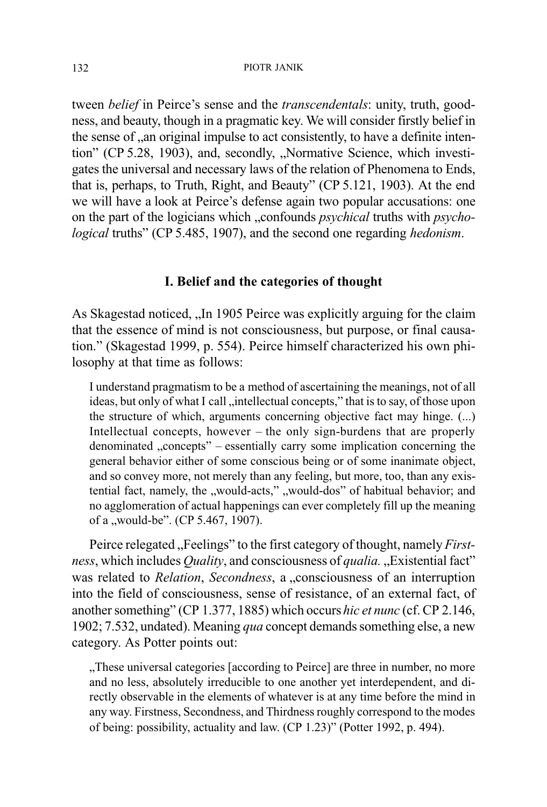#### PIOTR JANIK

tween *belief* in Peirce's sense and the *transcendentals*: unity, truth, goodness, and beauty, though in a pragmatic key. We will consider firstly belief in the sense of "an original impulse to act consistently, to have a definite intention" (CP 5.28, 1903), and, secondly, "Normative Science, which investigates the universal and necessary laws of the relation of Phenomena to Ends, that is, perhaps, to Truth, Right, and Beauty" (CP 5.121, 1903). At the end we will have a look at Peirce's defense again two popular accusations: one on the part of the logicians which "confounds *psychical* truths with *psycho*logical truths" (CP 5.485, 1907), and the second one regarding hedonism.

#### I. Belief and the categories of thought

As Skagestad noticed, In 1905 Peirce was explicitly arguing for the claim that the essence of mind is not consciousness, but purpose, or final causation." (Skagestad 1999, p. 554). Peirce himself characterized his own philosophy at that time as follows:

I understand pragmatism to be a method of ascertaining the meanings, not of all ideas, but only of what I call , intellectual concepts," that is to say, of those upon the structure of which, arguments concerning objective fact may hinge. (...) Intellectual concepts, however  $-$  the only sign-burdens that are properly denominated "concepts" – essentially carry some implication concerning the general behavior either of some conscious being or of some inanimate object, and so convey more, not merely than any feeling, but more, too, than any existential fact, namely, the "would-acts," "would-dos" of habitual behavior; and no agglomeration of actual happenings can ever completely fill up the meaning of a "would-be". (CP 5.467, 1907).

Peirce relegated "Feelings" to the first category of thought, namely *First*ness, which includes  $Quality$ , and consciousness of qualia. "Existential fact" was related to *Relation, Secondness*, a *"consciousness* of an interruption into the field of consciousness, sense of resistance, of an external fact, of another something" (CP 1.377, 1885) which occurs hic et nunc (cf. CP 2.146, 1902; 7.532, undated). Meaning *qua* concept demands something else, a new category. As Potter points out:

These universal categories [according to Peirce] are three in number, no more and no less, absolutely irreducible to one another yet interdependent, and directly observable in the elements of whatever is at any time before the mind in any way. Firstness, Secondness, and Thirdness roughly correspond to the modes of being: possibility, actuality and law. (CP 1.23) (Potter 1992, p. 494).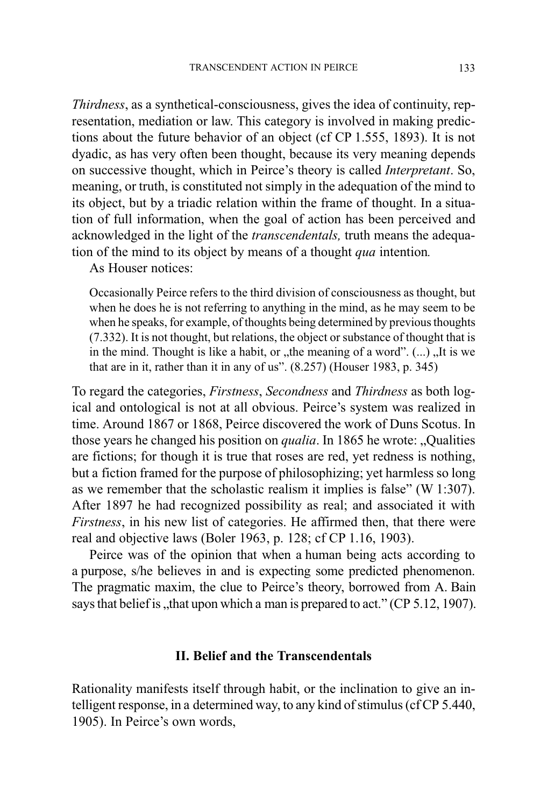Thirdness, as a synthetical-consciousness, gives the idea of continuity, representation, mediation or law. This category is involved in making predictions about the future behavior of an object (cf CP 1.555, 1893). It is not dyadic, as has very often been thought, because its very meaning depends on successive thought, which in Peirce's theory is called *Interpretant*. So, meaning, or truth, is constituted not simply in the adequation of the mind to its object, but by a triadic relation within the frame of thought. In a situation of full information, when the goal of action has been perceived and acknowledged in the light of the transcendentals, truth means the adequation of the mind to its object by means of a thought qua intention.

As Houser notices:

Occasionally Peirce refers to the third division of consciousness as thought, but when he does he is not referring to anything in the mind, as he may seem to be when he speaks, for example, of thoughts being determined by previous thoughts (7.332). It is not thought, but relations, the object or substance of thought that is in the mind. Thought is like a habit, or  $n$ , the meaning of a word".  $(...)$ , It is we that are in it, rather than it in any of us".  $(8.257)$  (Houser 1983, p. 345)

To regard the categories, Firstness, Secondness and Thirdness as both logical and ontological is not at all obvious. Peirce's system was realized in time. Around 1867 or 1868, Peirce discovered the work of Duns Scotus. In those years he changed his position on *qualia*. In 1865 he wrote: Qualities are fictions; for though it is true that roses are red, yet redness is nothing, but a fiction framed for the purpose of philosophizing; yet harmless so long as we remember that the scholastic realism it implies is false" (W 1:307). After 1897 he had recognized possibility as real; and associated it with Firstness, in his new list of categories. He affirmed then, that there were real and objective laws (Boler 1963, p. 128; cf CP 1.16, 1903).

Peirce was of the opinion that when a human being acts according to a purpose, s/he believes in and is expecting some predicted phenomenon. The pragmatic maxim, the clue to Peirce's theory, borrowed from A. Bain says that belief is  $x$ , that upon which a man is prepared to act." (CP 5.12, 1907).

#### II. Belief and the Transcendentals

Rationality manifests itself through habit, or the inclination to give an intelligent response, in a determined way, to any kind of stimulus (cf CP 5.440, 1905). In Peirce's own words,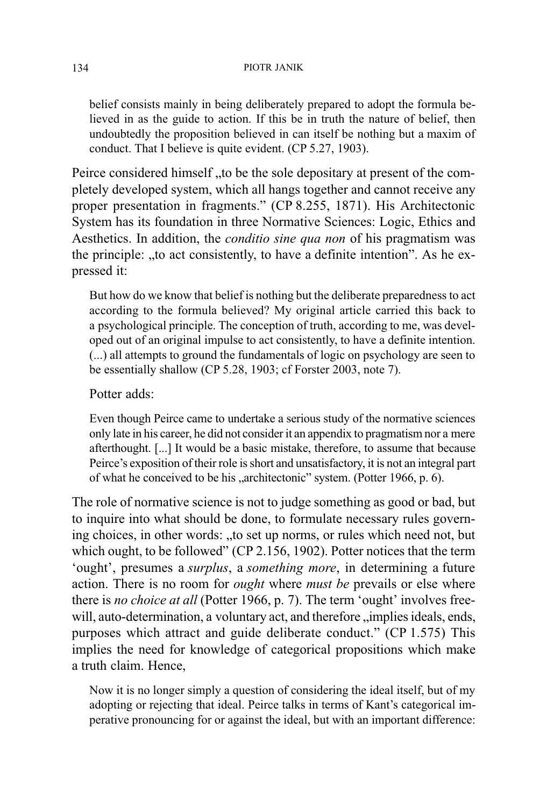belief consists mainly in being deliberately prepared to adopt the formula believed in as the guide to action. If this be in truth the nature of belief, then undoubtedly the proposition believed in can itself be nothing but a maxim of conduct. That I believe is quite evident. (CP 5.27, 1903).

Peirce considered himself to be the sole depositary at present of the completely developed system, which all hangs together and cannot receive any proper presentation in fragments." (CP 8.255, 1871). His Architectonic System has its foundation in three Normative Sciences: Logic, Ethics and Aesthetics. In addition, the conditio sine qua non of his pragmatism was the principle: "to act consistently, to have a definite intention". As he expressed it:

But how do we know that belief is nothing but the deliberate preparedness to act according to the formula believed? My original article carried this back to a psychological principle. The conception of truth, according to me, was developed out of an original impulse to act consistently, to have a definite intention. (...) all attempts to ground the fundamentals of logic on psychology are seen to be essentially shallow (CP 5.28, 1903; cf Forster 2003, note 7).

## Potter adds:

Even though Peirce came to undertake a serious study of the normative sciences only late in his career, he did not consider it an appendix to pragmatism nor a mere afterthought. [...] It would be a basic mistake, therefore, to assume that because Peirce's exposition of their role is short and unsatisfactory, it is not an integral part of what he conceived to be his "architectonic" system. (Potter 1966, p. 6).

The role of normative science is not to judge something as good or bad, but to inquire into what should be done, to formulate necessary rules governing choices, in other words: "to set up norms, or rules which need not, but which ought, to be followed" (CP 2.156, 1902). Potter notices that the term 'ought', presumes a *surplus*, a *something more*, in determining a future action. There is no room for ought where must be prevails or else where there is no choice at all (Potter 1966, p. 7). The term 'ought' involves freewill, auto-determination, a voluntary act, and therefore "implies ideals, ends, purposes which attract and guide deliberate conduct." (CP 1.575) This implies the need for knowledge of categorical propositions which make a truth claim. Hence,

Now it is no longer simply a question of considering the ideal itself, but of my adopting or rejecting that ideal. Peirce talks in terms of Kant's categorical imperative pronouncing for or against the ideal, but with an important difference: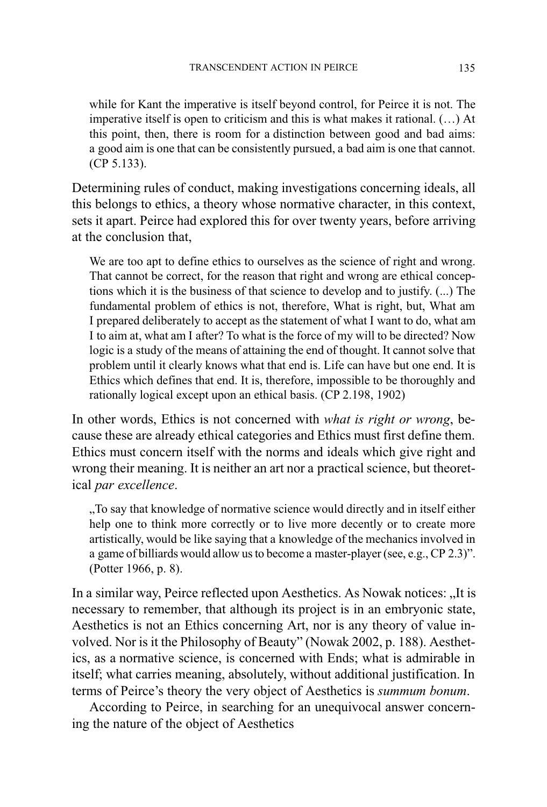while for Kant the imperative is itself beyond control, for Peirce it is not. The imperative itself is open to criticism and this is what makes it rational.  $(...)$  At this point, then, there is room for a distinction between good and bad aims: a good aim is one that can be consistently pursued, a bad aim is one that cannot. (CP 5.133).

Determining rules of conduct, making investigations concerning ideals, all this belongs to ethics, a theory whose normative character, in this context, sets it apart. Peirce had explored this for over twenty years, before arriving at the conclusion that,

We are too apt to define ethics to ourselves as the science of right and wrong. That cannot be correct, for the reason that right and wrong are ethical conceptions which it is the business of that science to develop and to justify. (...) The fundamental problem of ethics is not, therefore, What is right, but, What am I prepared deliberately to accept as the statement of what I want to do, what am I to aim at, what am I after? To what is the force of my will to be directed? Now logic is a study of the means of attaining the end of thought. It cannot solve that problem until it clearly knows what that end is. Life can have but one end. It is Ethics which defines that end. It is, therefore, impossible to be thoroughly and rationally logical except upon an ethical basis. (CP 2.198, 1902)

In other words, Ethics is not concerned with *what is right or wrong*, because these are already ethical categories and Ethics must first define them. Ethics must concern itself with the norms and ideals which give right and wrong their meaning. It is neither an art nor a practical science, but theoretical par excellence.

To say that knowledge of normative science would directly and in itself either help one to think more correctly or to live more decently or to create more artistically, would be like saying that a knowledge of the mechanics involved in a game of billiards would allow us to become a master-player (see, e.g., CP 2.3)". (Potter 1966, p. 8).

In a similar way, Peirce reflected upon Aesthetics. As Nowak notices: "It is necessary to remember, that although its project is in an embryonic state, Aesthetics is not an Ethics concerning Art, nor is any theory of value involved. Nor is it the Philosophy of Beauty" (Nowak 2002, p. 188). Aesthetics, as a normative science, is concerned with Ends; what is admirable in itself; what carries meaning, absolutely, without additional justification. In terms of Peirce's theory the very object of Aesthetics is summum bonum.

According to Peirce, in searching for an unequivocal answer concerning the nature of the object of Aesthetics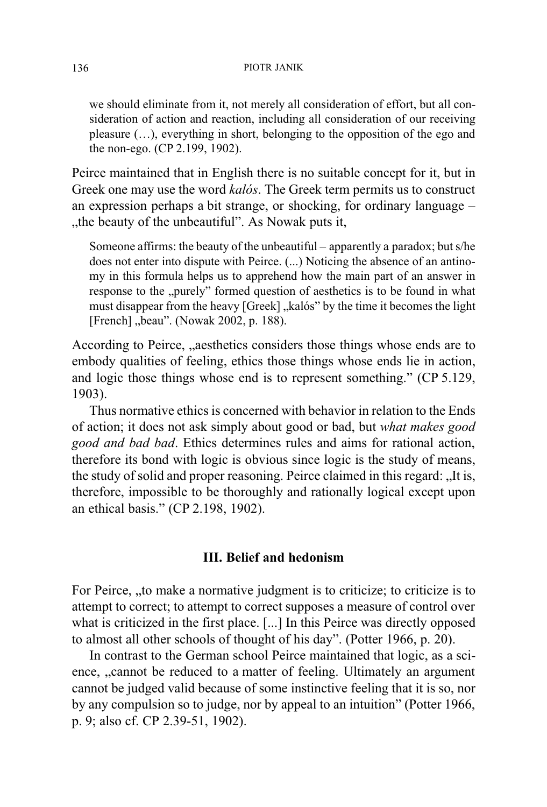we should eliminate from it, not merely all consideration of effort, but all consideration of action and reaction, including all consideration of our receiving pleasure  $(...)$ , everything in short, belonging to the opposition of the ego and the non-ego. (CP 2.199, 1902).

Peirce maintained that in English there is no suitable concept for it, but in Greek one may use the word kalós. The Greek term permits us to construct an expression perhaps a bit strange, or shocking, for ordinary language the beauty of the unbeautiful". As Nowak puts it,

Someone affirms: the beauty of the unbeautiful  $-$  apparently a paradox; but s/he does not enter into dispute with Peirce. (...) Noticing the absence of an antinomy in this formula helps us to apprehend how the main part of an answer in response to the "purely" formed question of aesthetics is to be found in what must disappear from the heavy [Greek], kalós" by the time it becomes the light [French] "beau". (Nowak 2002, p. 188).

According to Peirce, aesthetics considers those things whose ends are to embody qualities of feeling, ethics those things whose ends lie in action, and logic those things whose end is to represent something." (CP 5.129, 1903).

Thus normative ethics is concerned with behavior in relation to the Ends of action; it does not ask simply about good or bad, but what makes good good and bad bad. Ethics determines rules and aims for rational action, therefore its bond with logic is obvious since logic is the study of means, the study of solid and proper reasoning. Peirce claimed in this regard: "It is, therefore, impossible to be thoroughly and rationally logical except upon an ethical basis." (CP 2.198, 1902).

### III. Belief and hedonism

For Peirce, "to make a normative judgment is to criticize; to criticize is to attempt to correct; to attempt to correct supposes a measure of control over what is criticized in the first place. [...] In this Peirce was directly opposed to almost all other schools of thought of his day". (Potter 1966, p. 20).

In contrast to the German school Peirce maintained that logic, as a science, "cannot be reduced to a matter of feeling. Ultimately an argument cannot be judged valid because of some instinctive feeling that it is so, nor by any compulsion so to judge, nor by appeal to an intuition" (Potter 1966, p. 9; also cf. CP 2.39-51, 1902).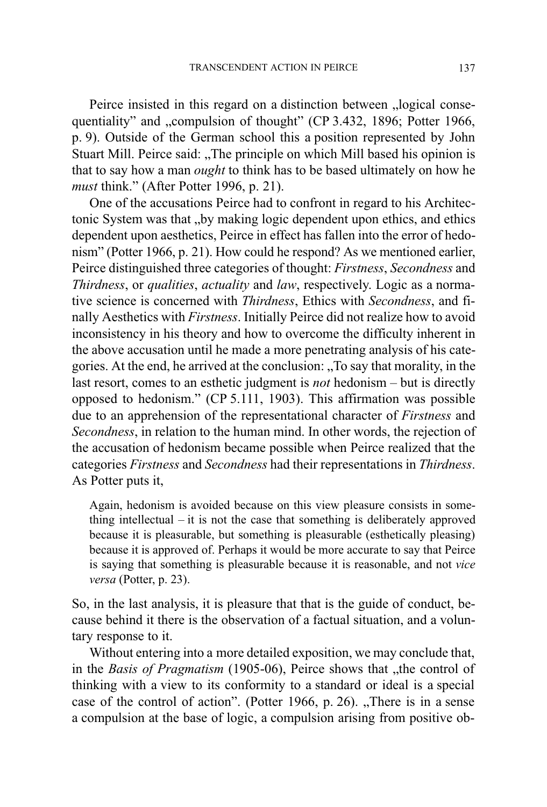Peirce insisted in this regard on a distinction between "logical consequentiality" and "compulsion of thought" (CP 3.432, 1896; Potter 1966, p. 9). Outside of the German school this a position represented by John Stuart Mill. Peirce said: "The principle on which Mill based his opinion is that to say how a man ought to think has to be based ultimately on how he must think." (After Potter 1996, p. 21).

One of the accusations Peirce had to confront in regard to his Architectonic System was that "by making logic dependent upon ethics, and ethics dependent upon aesthetics, Peirce in effect has fallen into the error of hedonism (Potter 1966, p. 21). How could he respond? As we mentioned earlier, Peirce distinguished three categories of thought: Firstness, Secondness and Thirdness, or qualities, actuality and law, respectively. Logic as a normative science is concerned with Thirdness, Ethics with Secondness, and finally Aesthetics with Firstness. Initially Peirce did not realize how to avoid inconsistency in his theory and how to overcome the difficulty inherent in the above accusation until he made a more penetrating analysis of his categories. At the end, he arrived at the conclusion: To say that morality, in the last resort, comes to an esthetic judgment is *not* hedonism  $-$  but is directly opposed to hedonism." (CP 5.111, 1903). This affirmation was possible due to an apprehension of the representational character of Firstness and Secondness, in relation to the human mind. In other words, the rejection of the accusation of hedonism became possible when Peirce realized that the categories Firstness and Secondness had their representations in Thirdness. As Potter puts it,

Again, hedonism is avoided because on this view pleasure consists in something intellectual  $-$  it is not the case that something is deliberately approved because it is pleasurable, but something is pleasurable (esthetically pleasing) because it is approved of. Perhaps it would be more accurate to say that Peirce is saying that something is pleasurable because it is reasonable, and not vice versa (Potter, p. 23).

So, in the last analysis, it is pleasure that that is the guide of conduct, because behind it there is the observation of a factual situation, and a voluntary response to it.

Without entering into a more detailed exposition, we may conclude that, in the Basis of Pragmatism  $(1905-06)$ , Peirce shows that "the control of thinking with a view to its conformity to a standard or ideal is a special case of the control of action". (Potter 1966, p. 26). "There is in a sense a compulsion at the base of logic, a compulsion arising from positive ob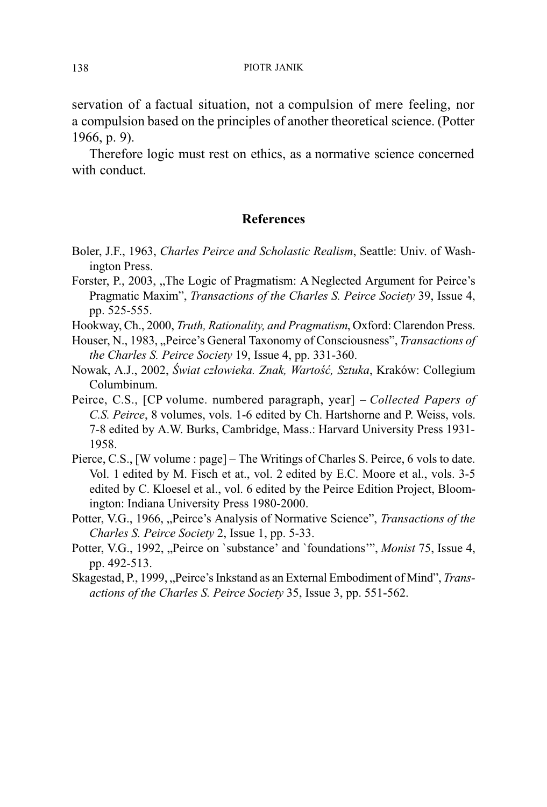servation of a factual situation, not a compulsion of mere feeling, nor a compulsion based on the principles of another theoretical science. (Potter 1966, p. 9).

Therefore logic must rest on ethics, as a normative science concerned with conduct

### References

- Boler, J.F., 1963, Charles Peirce and Scholastic Realism, Seattle: Univ. of Washington Press.
- Forster, P., 2003, The Logic of Pragmatism: A Neglected Argument for Peirce's Pragmatic Maxim", *Transactions of the Charles S. Peirce Society* 39, Issue 4, pp. 525-555.
- Hookway, Ch., 2000, Truth, Rationality, and Pragmatism, Oxford: Clarendon Press.
- Houser, N., 1983, "Peirce's General Taxonomy of Consciousness", Transactions of the Charles S. Peirce Society 19, Issue 4, pp. 331-360.
- Nowak, A.J., 2002, Świat człowieka. Znak, Wartość, Sztuka, Kraków: Collegium Columbinum.
- Peirce, C.S., [CP volume. numbered paragraph, year] Collected Papers of C.S. Peirce, 8 volumes, vols. 1-6 edited by Ch. Hartshorne and P. Weiss, vols. 7-8 edited by A.W. Burks, Cambridge, Mass.: Harvard University Press 1931- 1958.
- Pierce, C.S., [W volume : page] The Writings of Charles S. Peirce, 6 vols to date. Vol. 1 edited by M. Fisch et at., vol. 2 edited by E.C. Moore et al., vols. 3-5 edited by C. Kloesel et al., vol. 6 edited by the Peirce Edition Project, Bloomington: Indiana University Press 1980-2000.
- Potter, V.G., 1966, "Peirce's Analysis of Normative Science", Transactions of the Charles S. Peirce Society 2, Issue 1, pp. 5-33.
- Potter, V.G., 1992, "Peirce on `substance' and `foundations'", Monist 75, Issue 4, pp. 492-513.
- Skagestad, P., 1999, "Peirce's Inkstand as an External Embodiment of Mind", *Trans*actions of the Charles S. Peirce Society 35, Issue 3, pp. 551-562.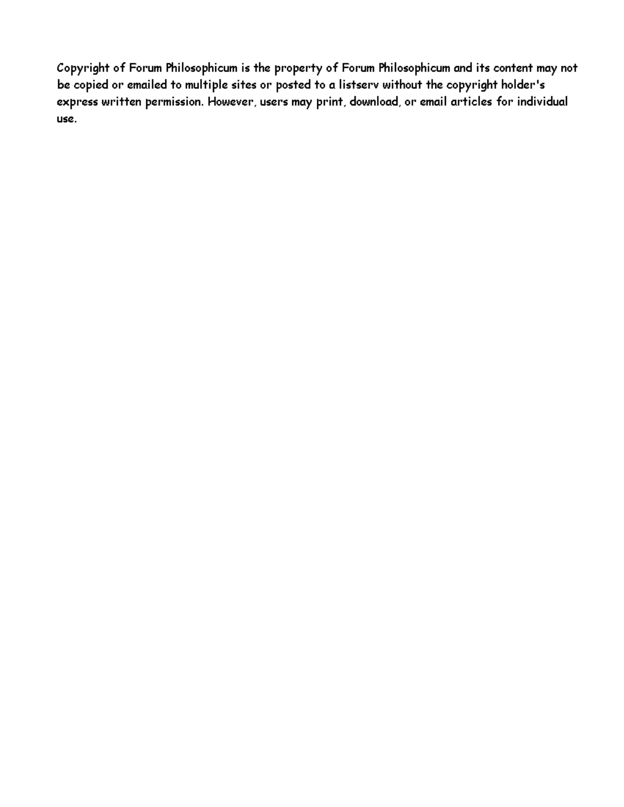Copyright of Forum Philosophicum is the property of Forum Philosophicum and its content may not be copied or emailed to multiple sites or posted to a listserv without the copyright holder's express written permission. However, users may print, download, or email articles for individual use.